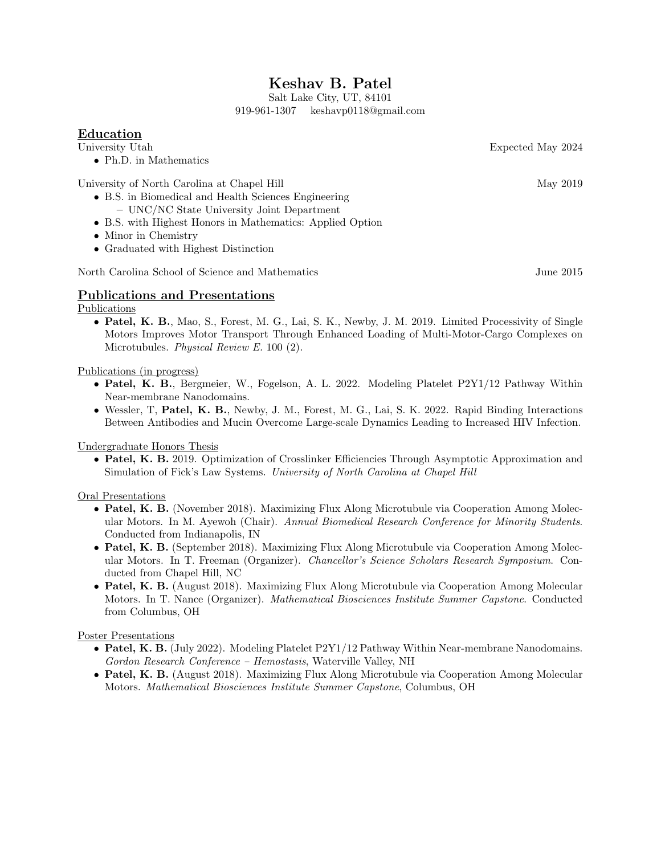# Keshav B. Patel

Salt Lake City, UT, 84101 919-961-1307 keshavp0118@gmail.com

## Education

University Utah Expected May 2024

• Ph.D. in Mathematics

University of North Carolina at Chapel Hill May 2019

- B.S. in Biomedical and Health Sciences Engineering – UNC/NC State University Joint Department
- B.S. with Highest Honors in Mathematics: Applied Option
- Minor in Chemistry
- Graduated with Highest Distinction

North Carolina School of Science and Mathematics June 2015

### Publications and Presentations

Publications

• Patel, K. B., Mao, S., Forest, M. G., Lai, S. K., Newby, J. M. 2019. Limited Processivity of Single Motors Improves Motor Transport Through Enhanced Loading of Multi-Motor-Cargo Complexes on Microtubules. Physical Review E. 100 (2).

Publications (in progress)

- Patel, K. B., Bergmeier, W., Fogelson, A. L. 2022. Modeling Platelet P2Y1/12 Pathway Within Near-membrane Nanodomains.
- Wessler, T, Patel, K. B., Newby, J. M., Forest, M. G., Lai, S. K. 2022. Rapid Binding Interactions Between Antibodies and Mucin Overcome Large-scale Dynamics Leading to Increased HIV Infection.

Undergraduate Honors Thesis

• Patel, K. B. 2019. Optimization of Crosslinker Efficiencies Through Asymptotic Approximation and Simulation of Fick's Law Systems. University of North Carolina at Chapel Hill

Oral Presentations

- Patel, K. B. (November 2018). Maximizing Flux Along Microtubule via Cooperation Among Molecular Motors. In M. Ayewoh (Chair). Annual Biomedical Research Conference for Minority Students. Conducted from Indianapolis, IN
- Patel, K. B. (September 2018). Maximizing Flux Along Microtubule via Cooperation Among Molecular Motors. In T. Freeman (Organizer). Chancellor's Science Scholars Research Symposium. Conducted from Chapel Hill, NC
- Patel, K. B. (August 2018). Maximizing Flux Along Microtubule via Cooperation Among Molecular Motors. In T. Nance (Organizer). Mathematical Biosciences Institute Summer Capstone. Conducted from Columbus, OH

Poster Presentations

- Patel, K. B. (July 2022). Modeling Platelet P2Y1/12 Pathway Within Near-membrane Nanodomains. Gordon Research Conference – Hemostasis, Waterville Valley, NH
- Patel, K. B. (August 2018). Maximizing Flux Along Microtubule via Cooperation Among Molecular Motors. Mathematical Biosciences Institute Summer Capstone, Columbus, OH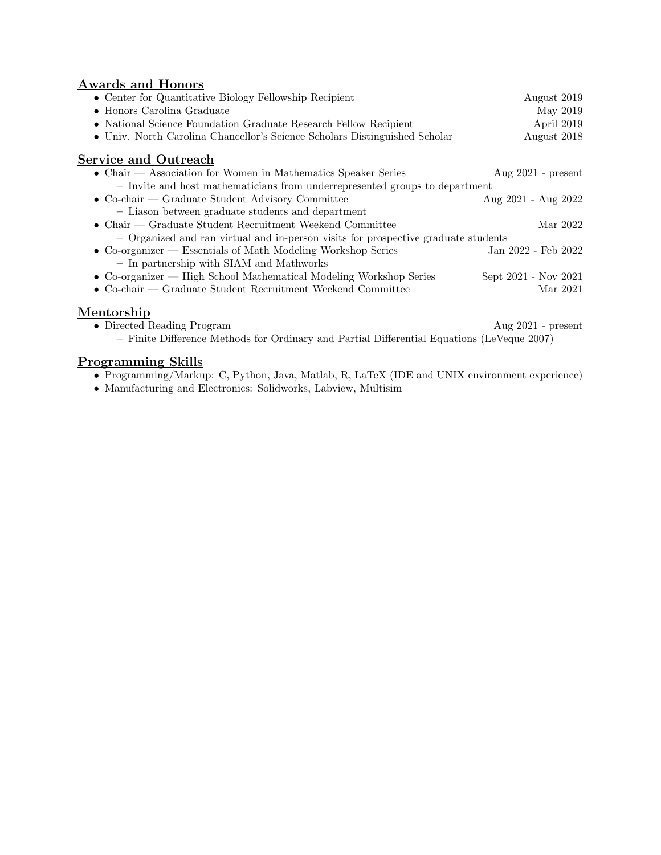## Awards and Honors

| • Center for Quantitative Biology Fellowship Recipient                                     | August 2019             |
|--------------------------------------------------------------------------------------------|-------------------------|
| $\bullet$ Honors Carolina Graduate                                                         | May 2019                |
| • National Science Foundation Graduate Research Fellow Recipient                           | April 2019              |
| • Univ. North Carolina Chancellor's Science Scholars Distinguished Scholar                 | August 2018             |
| <b>Service and Outreach</b>                                                                |                         |
| • Chair — Association for Women in Mathematics Speaker Series                              | Aug $2021$ - present    |
| - Invite and host mathematicians from underrepresented groups to department                |                         |
| • Co-chair — Graduate Student Advisory Committee                                           | Aug $2021$ - Aug $2022$ |
| - Liason between graduate students and department                                          |                         |
| • Chair — Graduate Student Recruitment Weekend Committee                                   | Mar 2022                |
| - Organized and ran virtual and in-person visits for prospective graduate students         |                         |
| • Co-organizer — Essentials of Math Modeling Workshop Series                               | Jan 2022 - Feb 2022     |
| - In partnership with SIAM and Mathworks                                                   |                         |
| • Co-organizer — High School Mathematical Modeling Workshop Series                         | Sept 2021 - Nov 2021    |
| • Co-chair — Graduate Student Recruitment Weekend Committee                                | Mar 2021                |
| Mentorship                                                                                 |                         |
| • Directed Reading Program                                                                 | Aug $2021$ - present    |
| - Finite Difference Methods for Ordinary and Partial Differential Equations (LeVeque 2007) |                         |

## Programming Skills

- Programming/Markup: C, Python, Java, Matlab, R, LaTeX (IDE and UNIX environment experience)
- Manufacturing and Electronics: Solidworks, Labview, Multisim